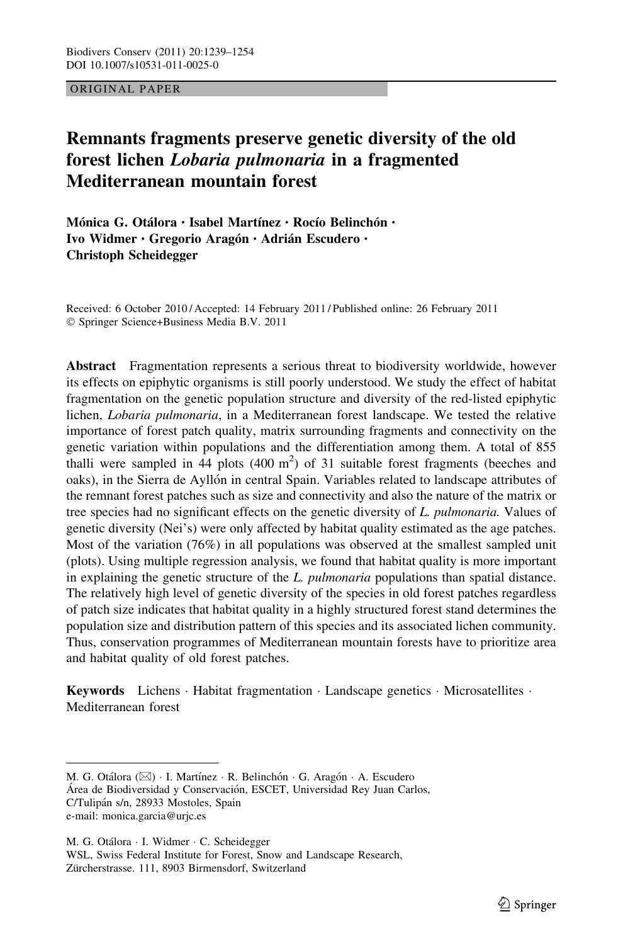ORIGINAL PAPER

# Remnants fragments preserve genetic diversity of the old forest lichen Lobaria pulmonaria in a fragmented Mediterranean mountain forest

Mónica G. Otálora · Isabel Martínez · Rocío Belinchón · Ivo Widmer · Gregorio Aragón · Adrián Escudero · Christoph Scheidegger

Received: 6 October 2010 / Accepted: 14 February 2011 / Published online: 26 February 2011 - Springer Science+Business Media B.V. 2011

Abstract Fragmentation represents a serious threat to biodiversity worldwide, however its effects on epiphytic organisms is still poorly understood. We study the effect of habitat fragmentation on the genetic population structure and diversity of the red-listed epiphytic lichen, Lobaria pulmonaria, in a Mediterranean forest landscape. We tested the relative importance of forest patch quality, matrix surrounding fragments and connectivity on the genetic variation within populations and the differentiation among them. A total of 855 thalli were sampled in 44 plots  $(400 \text{ m}^2)$  of 31 suitable forest fragments (beeches and oaks), in the Sierra de Ayllón in central Spain. Variables related to landscape attributes of the remnant forest patches such as size and connectivity and also the nature of the matrix or tree species had no significant effects on the genetic diversity of L. pulmonaria. Values of genetic diversity (Nei's) were only affected by habitat quality estimated as the age patches. Most of the variation (76%) in all populations was observed at the smallest sampled unit (plots). Using multiple regression analysis, we found that habitat quality is more important in explaining the genetic structure of the  $L$ . *pulmonaria* populations than spatial distance. The relatively high level of genetic diversity of the species in old forest patches regardless of patch size indicates that habitat quality in a highly structured forest stand determines the population size and distribution pattern of this species and its associated lichen community. Thus, conservation programmes of Mediterranean mountain forests have to prioritize area and habitat quality of old forest patches.

Keywords Lichens · Habitat fragmentation · Landscape genetics · Microsatellites · Mediterranean forest

M. G. Otálora ( $\boxtimes$ ) · I. Martínez · R. Belinchón · G. Aragón · A. Escudero Área de Biodiversidad y Conservación, ESCET, Universidad Rey Juan Carlos, C/Tulipán s/n, 28933 Mostoles, Spain e-mail: monica.garcia@urjc.es

M. G. Otálora · I. Widmer · C. Scheidegger WSL, Swiss Federal Institute for Forest, Snow and Landscape Research, Zürcherstrasse. 111, 8903 Birmensdorf, Switzerland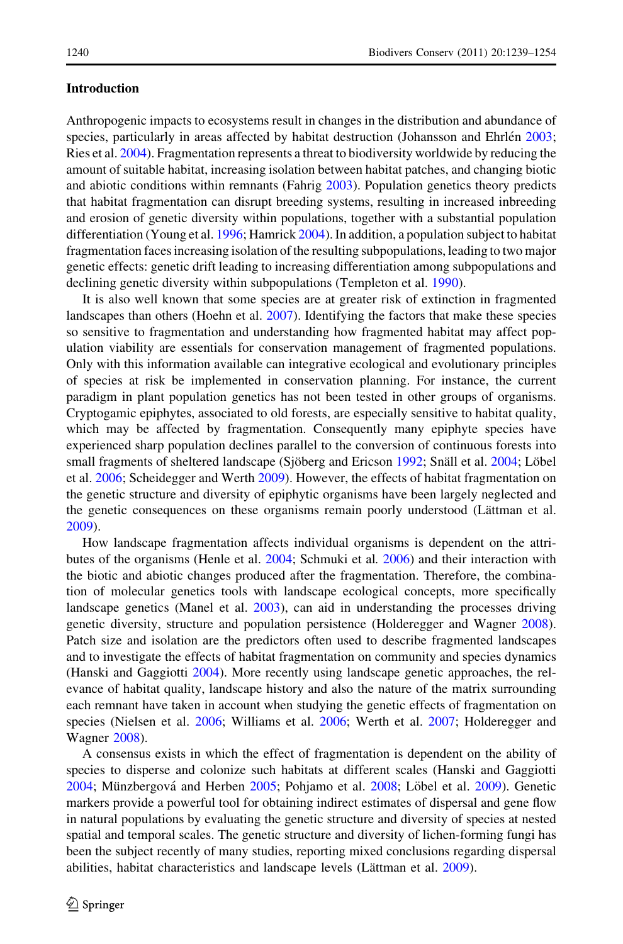## Introduction

Anthropogenic impacts to ecosystems result in changes in the distribution and abundance of species, particularly in areas affected by habitat destruction (Johansson and Ehrlén [2003;](#page-13-0) Ries et al. [2004\)](#page-14-0). Fragmentation represents a threat to biodiversity worldwide by reducing the amount of suitable habitat, increasing isolation between habitat patches, and changing biotic and abiotic conditions within remnants (Fahrig [2003](#page-13-0)). Population genetics theory predicts that habitat fragmentation can disrupt breeding systems, resulting in increased inbreeding and erosion of genetic diversity within populations, together with a substantial population differentiation (Young et al. [1996](#page-15-0); Hamrick [2004](#page-13-0)). In addition, a population subject to habitat fragmentation faces increasing isolation of the resulting subpopulations, leading to two major genetic effects: genetic drift leading to increasing differentiation among subpopulations and declining genetic diversity within subpopulations (Templeton et al. [1990\)](#page-14-0).

It is also well known that some species are at greater risk of extinction in fragmented landscapes than others (Hoehn et al. [2007\)](#page-13-0). Identifying the factors that make these species so sensitive to fragmentation and understanding how fragmented habitat may affect population viability are essentials for conservation management of fragmented populations. Only with this information available can integrative ecological and evolutionary principles of species at risk be implemented in conservation planning. For instance, the current paradigm in plant population genetics has not been tested in other groups of organisms. Cryptogamic epiphytes, associated to old forests, are especially sensitive to habitat quality, which may be affected by fragmentation. Consequently many epiphyte species have experienced sharp population declines parallel to the conversion of continuous forests into small fragments of sheltered landscape (Sjöberg and Ericson [1992](#page-14-0); Snäll et al. [2004](#page-14-0); Löbel et al. [2006](#page-13-0); Scheidegger and Werth [2009](#page-14-0)). However, the effects of habitat fragmentation on the genetic structure and diversity of epiphytic organisms have been largely neglected and the genetic consequences on these organisms remain poorly understood (Lättman et al. [2009\)](#page-13-0).

How landscape fragmentation affects individual organisms is dependent on the attributes of the organisms (Henle et al. [2004](#page-13-0); Schmuki et al. [2006](#page-14-0)) and their interaction with the biotic and abiotic changes produced after the fragmentation. Therefore, the combination of molecular genetics tools with landscape ecological concepts, more specifically landscape genetics (Manel et al. [2003\)](#page-13-0), can aid in understanding the processes driving genetic diversity, structure and population persistence (Holderegger and Wagner [2008](#page-13-0)). Patch size and isolation are the predictors often used to describe fragmented landscapes and to investigate the effects of habitat fragmentation on community and species dynamics (Hanski and Gaggiotti [2004\)](#page-13-0). More recently using landscape genetic approaches, the relevance of habitat quality, landscape history and also the nature of the matrix surrounding each remnant have taken in account when studying the genetic effects of fragmentation on species (Nielsen et al. [2006;](#page-14-0) Williams et al. [2006](#page-14-0); Werth et al. [2007](#page-14-0); Holderegger and Wagner [2008\)](#page-13-0).

A consensus exists in which the effect of fragmentation is dependent on the ability of species to disperse and colonize such habitats at different scales (Hanski and Gaggiotti [2004;](#page-13-0) Münzbergová and Herben [2005](#page-14-0); Pohjamo et al. [2008](#page-14-0); Löbel et al. [2009](#page-13-0)). Genetic markers provide a powerful tool for obtaining indirect estimates of dispersal and gene flow in natural populations by evaluating the genetic structure and diversity of species at nested spatial and temporal scales. The genetic structure and diversity of lichen-forming fungi has been the subject recently of many studies, reporting mixed conclusions regarding dispersal abilities, habitat characteristics and landscape levels (Lättman et al. [2009](#page-13-0)).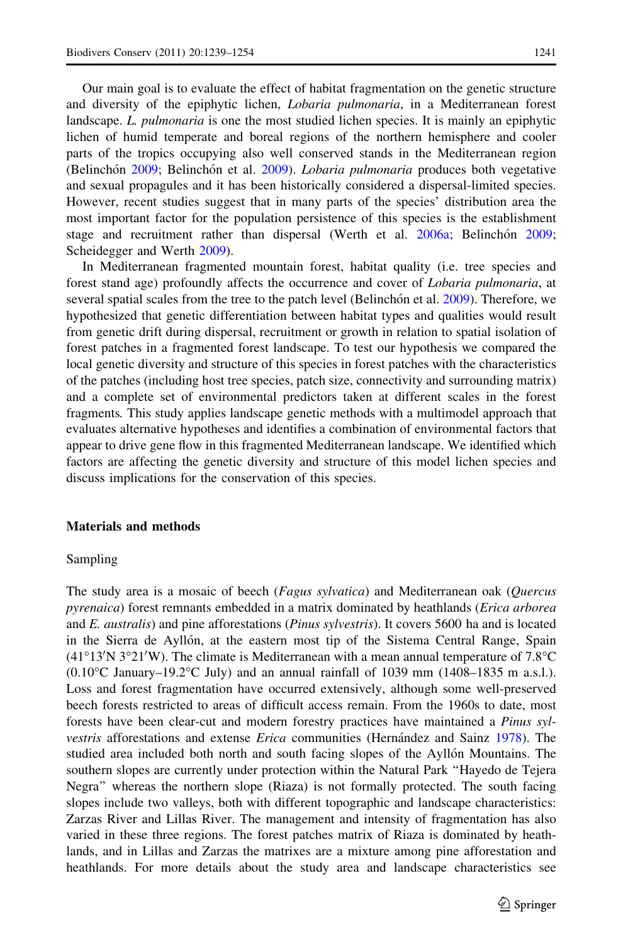Our main goal is to evaluate the effect of habitat fragmentation on the genetic structure and diversity of the epiphytic lichen, Lobaria pulmonaria, in a Mediterranean forest landscape. L. pulmonaria is one the most studied lichen species. It is mainly an epiphytic lichen of humid temperate and boreal regions of the northern hemisphere and cooler parts of the tropics occupying also well conserved stands in the Mediterranean region (Belinchón [2009;](#page-13-0) Belinchón et al. [2009](#page-13-0)). Lobaria pulmonaria produces both vegetative and sexual propagules and it has been historically considered a dispersal-limited species. However, recent studies suggest that in many parts of the species' distribution area the most important factor for the population persistence of this species is the establishment stage and recruitment rather than dispersal (Werth et al. [2006a](#page-14-0); Belinchón [2009;](#page-13-0) Scheidegger and Werth [2009](#page-14-0)).

In Mediterranean fragmented mountain forest, habitat quality (i.e. tree species and forest stand age) profoundly affects the occurrence and cover of *Lobaria pulmonaria*, at several spatial scales from the tree to the patch level (Belinchón et al. [2009\)](#page-13-0). Therefore, we hypothesized that genetic differentiation between habitat types and qualities would result from genetic drift during dispersal, recruitment or growth in relation to spatial isolation of forest patches in a fragmented forest landscape. To test our hypothesis we compared the local genetic diversity and structure of this species in forest patches with the characteristics of the patches (including host tree species, patch size, connectivity and surrounding matrix) and a complete set of environmental predictors taken at different scales in the forest fragments. This study applies landscape genetic methods with a multimodel approach that evaluates alternative hypotheses and identifies a combination of environmental factors that appear to drive gene flow in this fragmented Mediterranean landscape. We identified which factors are affecting the genetic diversity and structure of this model lichen species and discuss implications for the conservation of this species.

#### Materials and methods

#### Sampling

The study area is a mosaic of beech (Fagus sylvatica) and Mediterranean oak (Quercus pyrenaica) forest remnants embedded in a matrix dominated by heathlands (Erica arborea and E. australis) and pine afforestations (Pinus sylvestris). It covers 5600 ha and is located in the Sierra de Ayllón, at the eastern most tip of the Sistema Central Range, Spain  $(41^{\circ}13'N 3^{\circ}21'W)$ . The climate is Mediterranean with a mean annual temperature of 7.8°C  $(0.10^{\circ}$ C January–19.2°C July) and an annual rainfall of 1039 mm (1408–1835 m a.s.l.). Loss and forest fragmentation have occurred extensively, although some well-preserved beech forests restricted to areas of difficult access remain. From the 1960s to date, most forests have been clear-cut and modern forestry practices have maintained a Pinus sylvestris afforestations and extense *Erica* communities (Hernández and Sainz [1978](#page-13-0)). The studied area included both north and south facing slopes of the Ayllon Mountains. The southern slopes are currently under protection within the Natural Park ''Hayedo de Tejera Negra'' whereas the northern slope (Riaza) is not formally protected. The south facing slopes include two valleys, both with different topographic and landscape characteristics: Zarzas River and Lillas River. The management and intensity of fragmentation has also varied in these three regions. The forest patches matrix of Riaza is dominated by heathlands, and in Lillas and Zarzas the matrixes are a mixture among pine afforestation and heathlands. For more details about the study area and landscape characteristics see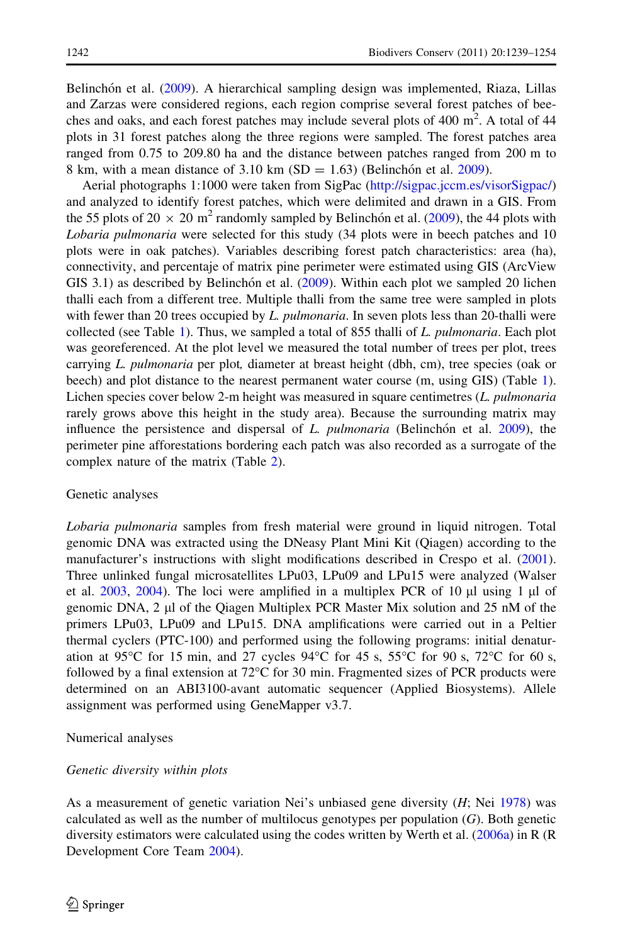Belinchón et al. ([2009\)](#page-13-0). A hierarchical sampling design was implemented, Riaza, Lillas and Zarzas were considered regions, each region comprise several forest patches of beeches and oaks, and each forest patches may include several plots of  $400 \text{ m}^2$ . A total of  $44$ plots in 31 forest patches along the three regions were sampled. The forest patches area ranged from 0.75 to 209.80 ha and the distance between patches ranged from 200 m to 8 km, with a mean distance of 3.10 km  $(SD = 1.63)$  (Belinchón et al. [2009](#page-13-0)).

Aerial photographs 1:1000 were taken from SigPac [\(http://sigpac.jccm.es/visorSigpac/](http://sigpac.jccm.es/visorSigpac/)) and analyzed to identify forest patches, which were delimited and drawn in a GIS. From the 55 plots of 20  $\times$  20 m<sup>2</sup> randomly sampled by Belinchon et al. [\(2009](#page-13-0)), the 44 plots with Lobaria pulmonaria were selected for this study (34 plots were in beech patches and 10 plots were in oak patches). Variables describing forest patch characteristics: area (ha), connectivity, and percentaje of matrix pine perimeter were estimated using GIS (ArcView GIS 3.1) as described by Belinchón et al.  $(2009)$ . Within each plot we sampled 20 lichen thalli each from a different tree. Multiple thalli from the same tree were sampled in plots with fewer than 20 trees occupied by L. pulmonaria. In seven plots less than 20-thalli were collected (see Table [1](#page-4-0)). Thus, we sampled a total of 855 thalli of  $L$ . *pulmonaria*. Each plot was georeferenced. At the plot level we measured the total number of trees per plot, trees carrying L. pulmonaria per plot, diameter at breast height (dbh, cm), tree species (oak or beech) and plot distance to the nearest permanent water course (m, using GIS) (Table [1](#page-4-0)). Lichen species cover below 2-m height was measured in square centimetres (*L. pulmonaria* rarely grows above this height in the study area). Because the surrounding matrix may influence the persistence and dispersal of  $L$ . *pulmonaria* (Belinchón et al. [2009\)](#page-13-0), the perimeter pine afforestations bordering each patch was also recorded as a surrogate of the complex nature of the matrix (Table [2](#page-5-0)).

## Genetic analyses

Lobaria pulmonaria samples from fresh material were ground in liquid nitrogen. Total genomic DNA was extracted using the DNeasy Plant Mini Kit (Qiagen) according to the manufacturer's instructions with slight modifications described in Crespo et al. [\(2001](#page-13-0)). Three unlinked fungal microsatellites LPu03, LPu09 and LPu15 were analyzed (Walser et al. [2003,](#page-14-0) [2004\)](#page-14-0). The loci were amplified in a multiplex PCR of 10  $\mu$ l using 1  $\mu$ l of genomic DNA, 2 ll of the Qiagen Multiplex PCR Master Mix solution and 25 nM of the primers LPu03, LPu09 and LPu15. DNA amplifications were carried out in a Peltier thermal cyclers (PTC-100) and performed using the following programs: initial denaturation at 95 $\degree$ C for 15 min, and 27 cycles 94 $\degree$ C for 45 s, 55 $\degree$ C for 90 s, 72 $\degree$ C for 60 s, followed by a final extension at  $72^{\circ}$ C for 30 min. Fragmented sizes of PCR products were determined on an ABI3100-avant automatic sequencer (Applied Biosystems). Allele assignment was performed using GeneMapper v3.7.

#### Numerical analyses

# Genetic diversity within plots

As a measurement of genetic variation Nei's unbiased gene diversity  $(H; Nei 1978)$  $(H; Nei 1978)$  $(H; Nei 1978)$  was calculated as well as the number of multilocus genotypes per population  $(G)$ . Both genetic diversity estimators were calculated using the codes written by Werth et al. [\(2006a](#page-14-0)) in R (R Development Core Team [2004](#page-14-0)).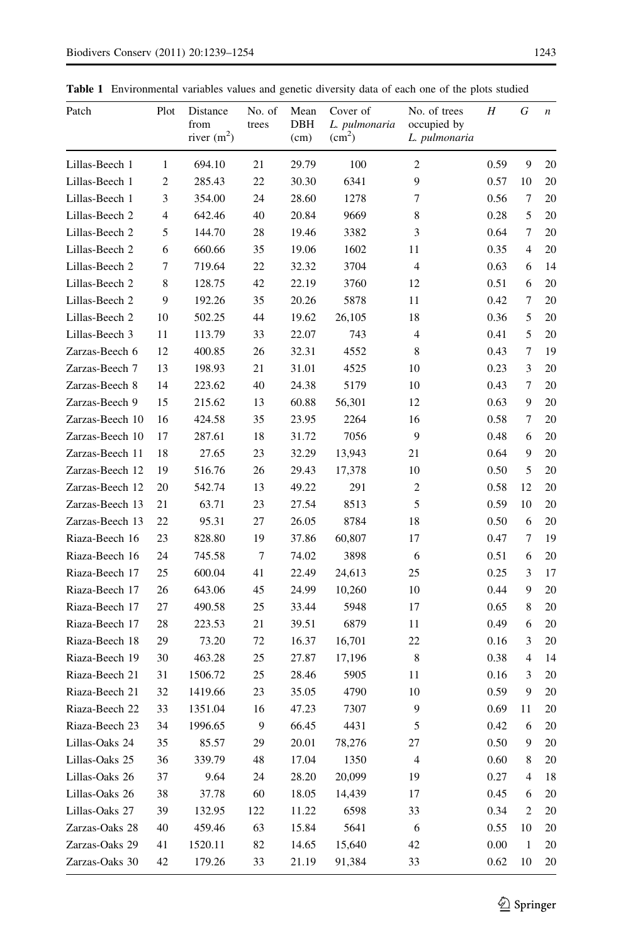| Patch           | Plot           | Distance<br>from<br>river $(m^2)$ | No. of<br>trees | Mean<br>DBH<br>(cm) | Cover of<br>L. pulmonaria<br>(cm <sup>2</sup> ) | No. of trees<br>occupied by<br>L. pulmonaria | Η        | G              | $\boldsymbol{n}$ |
|-----------------|----------------|-----------------------------------|-----------------|---------------------|-------------------------------------------------|----------------------------------------------|----------|----------------|------------------|
| Lillas-Beech 1  | 1              | 694.10                            | 21              | 29.79               | 100                                             | 2                                            | 0.59     | 9              | 20               |
| Lillas-Beech 1  | $\overline{2}$ | 285.43                            | 22              | 30.30               | 6341                                            | 9                                            | 0.57     | 10             | 20               |
| Lillas-Beech 1  | 3              | 354.00                            | 24              | 28.60               | 1278                                            | 7                                            | 0.56     | 7              | 20               |
| Lillas-Beech 2  | 4              | 642.46                            | 40              | 20.84               | 9669                                            | 8                                            | 0.28     | 5              | 20               |
| Lillas-Beech 2  | 5              | 144.70                            | 28              | 19.46               | 3382                                            | 3                                            | 0.64     | 7              | 20               |
| Lillas-Beech 2  | 6              | 660.66                            | 35              | 19.06               | 1602                                            | 11                                           | 0.35     | $\overline{4}$ | 20               |
| Lillas-Beech 2  | 7              | 719.64                            | 22              | 32.32               | 3704                                            | $\overline{4}$                               | 0.63     | 6              | 14               |
| Lillas-Beech 2  | 8              | 128.75                            | 42              | 22.19               | 3760                                            | 12                                           | 0.51     | 6              | 20               |
| Lillas-Beech 2  | 9              | 192.26                            | 35              | 20.26               | 5878                                            | 11                                           | 0.42     | 7              | 20               |
| Lillas-Beech 2  | 10             | 502.25                            | 44              | 19.62               | 26,105                                          | 18                                           | 0.36     | 5              | 20               |
| Lillas-Beech 3  | 11             | 113.79                            | 33              | 22.07               | 743                                             | 4                                            | 0.41     | 5              | 20               |
| Zarzas-Beech 6  | 12             | 400.85                            | 26              | 32.31               | 4552                                            | 8                                            | 0.43     | 7              | 19               |
| Zarzas-Beech 7  | 13             | 198.93                            | 21              | 31.01               | 4525                                            | 10                                           | 0.23     | 3              | 20               |
| Zarzas-Beech 8  | 14             | 223.62                            | 40              | 24.38               | 5179                                            | 10                                           | 0.43     | 7              | 20               |
| Zarzas-Beech 9  | 15             | 215.62                            | 13              | 60.88               | 56,301                                          | 12                                           | 0.63     | 9              | 20               |
| Zarzas-Beech 10 | 16             | 424.58                            | 35              | 23.95               | 2264                                            | 16                                           | 0.58     | 7              | 20               |
| Zarzas-Beech 10 | 17             | 287.61                            | 18              | 31.72               | 7056                                            | 9                                            | 0.48     | 6              | 20               |
| Zarzas-Beech 11 | 18             | 27.65                             | 23              | 32.29               | 13,943                                          | 21                                           | 0.64     | 9              | 20               |
| Zarzas-Beech 12 | 19             | 516.76                            | 26              | 29.43               | 17,378                                          | 10                                           | 0.50     | 5              | 20               |
| Zarzas-Beech 12 | 20             | 542.74                            | 13              | 49.22               | 291                                             | 2                                            | 0.58     | 12             | 20               |
| Zarzas-Beech 13 | 21             | 63.71                             | 23              | 27.54               | 8513                                            | 5                                            | 0.59     | 10             | 20               |
| Zarzas-Beech 13 | 22             | 95.31                             | 27              | 26.05               | 8784                                            | 18                                           | 0.50     | 6              | 20               |
| Riaza-Beech 16  | 23             | 828.80                            | 19              | 37.86               | 60,807                                          | 17                                           | 0.47     | 7              | 19               |
| Riaza-Beech 16  | 24             | 745.58                            | 7               | 74.02               | 3898                                            | 6                                            | 0.51     | 6              | 20               |
| Riaza-Beech 17  | 25             | 600.04                            | 41              | 22.49               | 24,613                                          | 25                                           | 0.25     | 3              | 17               |
| Riaza-Beech 17  | 26             | 643.06                            | 45              | 24.99               | 10,260                                          | 10                                           | 0.44     | 9              | 20               |
| Riaza-Beech 17  | 27             | 490.58                            | 25              | 33.44               | 5948                                            | 17                                           | 0.65     | 8              | 20               |
| Riaza-Beech 17  | 28             | 223.53                            | 21              | 39.51               | 6879                                            | 11                                           | 0.49     | 6              | 20               |
| Riaza-Beech 18  | 29             | 73.20                             | 72              | 16.37               | 16,701                                          | 22                                           | 0.16     | 3              | 20               |
| Riaza-Beech 19  | 30             | 463.28                            | 25              | 27.87               | 17,196                                          | 8                                            | 0.38     | $\overline{4}$ | 14               |
| Riaza-Beech 21  | 31             | 1506.72                           | 25              | 28.46               | 5905                                            | 11                                           | 0.16     | 3              | 20               |
| Riaza-Beech 21  | 32             | 1419.66                           | 23              | 35.05               | 4790                                            | 10                                           | 0.59     | 9              | 20               |
| Riaza-Beech 22  | 33             | 1351.04                           | 16              | 47.23               | 7307                                            | 9                                            | 0.69     | 11             | 20               |
| Riaza-Beech 23  | 34             | 1996.65                           | 9               | 66.45               | 4431                                            | 5                                            | 0.42     | 6              | 20               |
| Lillas-Oaks 24  | 35             | 85.57                             | 29              | 20.01               | 78,276                                          | 27                                           | $0.50\,$ | 9              | $20\,$           |
| Lillas-Oaks 25  | 36             | 339.79                            | 48              | 17.04               | 1350                                            | $\overline{4}$                               | $0.60\,$ | 8              | $20\,$           |
| Lillas-Oaks 26  | 37             | 9.64                              | 24              | 28.20               | 20,099                                          | 19                                           | 0.27     | $\overline{4}$ | 18               |
| Lillas-Oaks 26  | 38             | 37.78                             | 60              | 18.05               | 14,439                                          | 17                                           | 0.45     | 6              | $20\,$           |
| Lillas-Oaks 27  | 39             | 132.95                            | 122             | 11.22               | 6598                                            | 33                                           | 0.34     | $\mathfrak{2}$ | 20               |
| Zarzas-Oaks 28  | 40             | 459.46                            | 63              | 15.84               | 5641                                            | 6                                            | 0.55     | 10             | 20               |
| Zarzas-Oaks 29  | 41             | 1520.11                           | 82              | 14.65               | 15,640                                          | 42                                           | $0.00\,$ | $\mathbf 1$    | $20\,$           |
| Zarzas-Oaks 30  | 42             | 179.26                            | 33              | 21.19               | 91,384                                          | 33                                           | 0.62     | 10             | 20               |

<span id="page-4-0"></span>Table 1 Environmental variables values and genetic diversity data of each one of the plots studied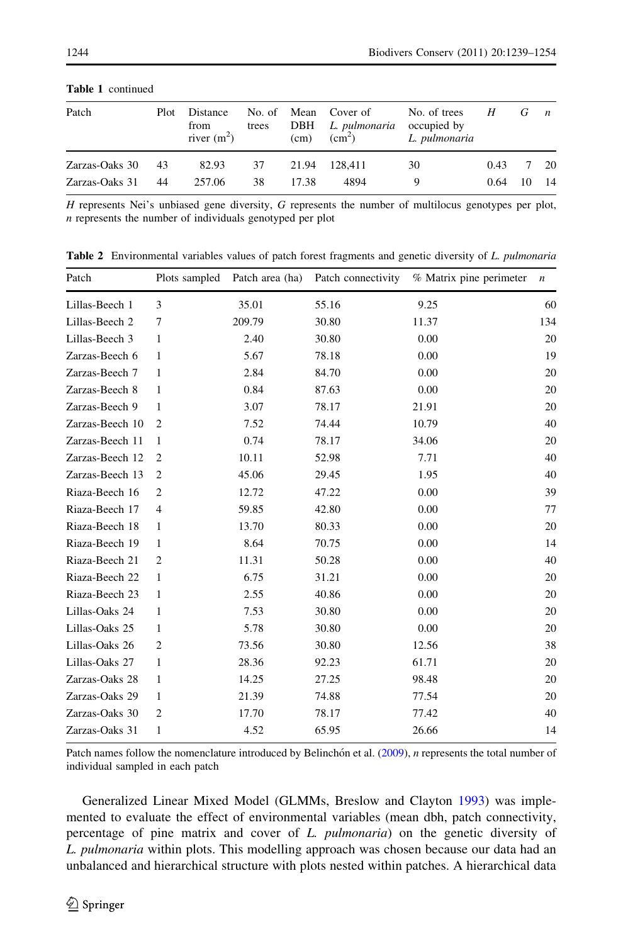| Patch          | Plot | Distance<br>from<br>river $(m^2)$ | trees |       | No. of Mean Cover of<br>DBH L. pulmonaria occupied by<br>$(cm)$ $(cm^2)$ | No. of trees<br>L. pulmonaria | H    | $\overline{n}$ |
|----------------|------|-----------------------------------|-------|-------|--------------------------------------------------------------------------|-------------------------------|------|----------------|
| Zarzas-Oaks 30 | 43   | 82.93                             | 37    | 21.94 | 128.411                                                                  | 30                            | 0.43 | -20            |
| Zarzas-Oaks 31 | 44   | 257.06                            | 38    | 17.38 | 4894                                                                     |                               | 0.64 | 14             |

<span id="page-5-0"></span>Table 1 continued

H represents Nei's unbiased gene diversity, G represents the number of multilocus genotypes per plot, n represents the number of individuals genotyped per plot

| Patch           | Plots sampled  | Patch area (ha) | Patch connectivity | % Matrix pine perimeter | $\boldsymbol{n}$ |
|-----------------|----------------|-----------------|--------------------|-------------------------|------------------|
| Lillas-Beech 1  | 3              | 35.01           | 55.16              | 9.25                    | 60               |
| Lillas-Beech 2  | 7              | 209.79          | 30.80              | 11.37                   | 134              |
| Lillas-Beech 3  | $\mathbf{1}$   | 2.40            | 30.80              | 0.00                    | 20               |
| Zarzas-Beech 6  | $\mathbf{1}$   | 5.67            | 78.18              | 0.00                    | 19               |
| Zarzas-Beech 7  | $\mathbf{1}$   | 2.84            | 84.70              | 0.00                    | 20               |
| Zarzas-Beech 8  | 1              | 0.84            | 87.63              | 0.00                    | 20               |
| Zarzas-Beech 9  | $\mathbf{1}$   | 3.07            | 78.17              | 21.91                   | 20               |
| Zarzas-Beech 10 | $\overline{2}$ | 7.52            | 74.44              | 10.79                   | 40               |
| Zarzas-Beech 11 | 1              | 0.74            | 78.17              | 34.06                   | 20               |
| Zarzas-Beech 12 | $\overline{c}$ | 10.11           | 52.98              | 7.71                    | 40               |
| Zarzas-Beech 13 | $\overline{2}$ | 45.06           | 29.45              | 1.95                    | 40               |
| Riaza-Beech 16  | $\overline{c}$ | 12.72           | 47.22              | 0.00                    | 39               |
| Riaza-Beech 17  | $\overline{4}$ | 59.85           | 42.80              | 0.00                    | 77               |
| Riaza-Beech 18  | $\mathbf{1}$   | 13.70           | 80.33              | 0.00                    | 20               |
| Riaza-Beech 19  | $\mathbf{1}$   | 8.64            | 70.75              | 0.00                    | 14               |
| Riaza-Beech 21  | $\overline{c}$ | 11.31           | 50.28              | 0.00                    | 40               |
| Riaza-Beech 22  | $\mathbf{1}$   | 6.75            | 31.21              | 0.00                    | 20               |
| Riaza-Beech 23  | $\mathbf{1}$   | 2.55            | 40.86              | 0.00                    | 20               |
| Lillas-Oaks 24  | $\mathbf{1}$   | 7.53            | 30.80              | 0.00                    | 20               |
| Lillas-Oaks 25  | 1              | 5.78            | 30.80              | 0.00                    | 20               |
| Lillas-Oaks 26  | 2              | 73.56           | 30.80              | 12.56                   | 38               |
| Lillas-Oaks 27  | $\mathbf{1}$   | 28.36           | 92.23              | 61.71                   | 20               |
| Zarzas-Oaks 28  | 1              | 14.25           | 27.25              | 98.48                   | 20               |
| Zarzas-Oaks 29  | $\mathbf{1}$   | 21.39           | 74.88              | 77.54                   | 20               |
| Zarzas-Oaks 30  | 2              | 17.70           | 78.17              | 77.42                   | 40               |
| Zarzas-Oaks 31  | $\mathbf{1}$   | 4.52            | 65.95              | 26.66                   | 14               |

Table 2 Environmental variables values of patch forest fragments and genetic diversity of L. pulmonaria

Patch names follow the nomenclature introduced by Belinchón et al. [\(2009](#page-13-0)), *n* represents the total number of individual sampled in each patch

Generalized Linear Mixed Model (GLMMs, Breslow and Clayton [1993](#page-13-0)) was implemented to evaluate the effect of environmental variables (mean dbh, patch connectivity, percentage of pine matrix and cover of L. pulmonaria) on the genetic diversity of L. pulmonaria within plots. This modelling approach was chosen because our data had an unbalanced and hierarchical structure with plots nested within patches. A hierarchical data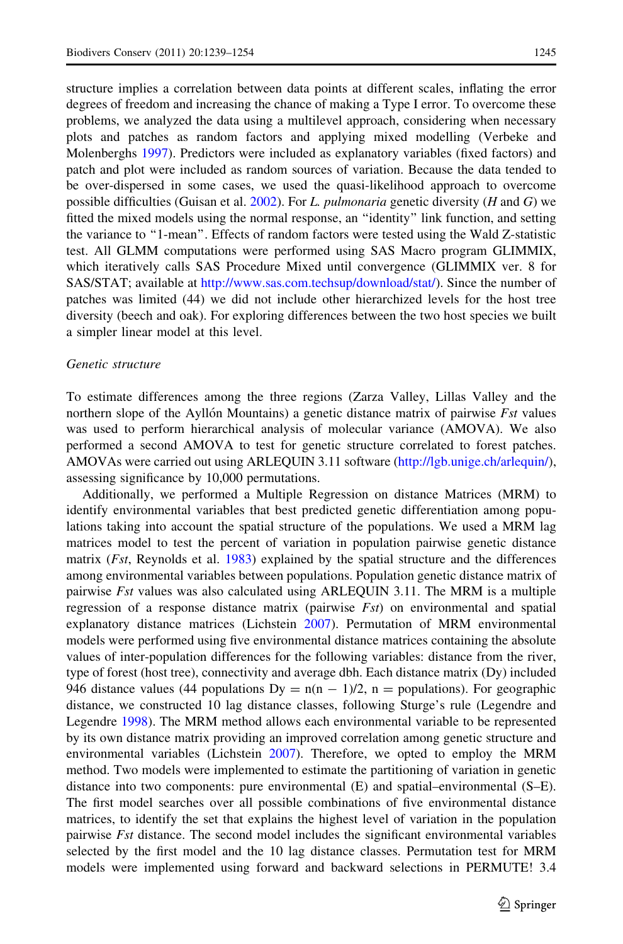structure implies a correlation between data points at different scales, inflating the error degrees of freedom and increasing the chance of making a Type I error. To overcome these problems, we analyzed the data using a multilevel approach, considering when necessary plots and patches as random factors and applying mixed modelling (Verbeke and Molenberghs [1997\)](#page-14-0). Predictors were included as explanatory variables (fixed factors) and patch and plot were included as random sources of variation. Because the data tended to be over-dispersed in some cases, we used the quasi-likelihood approach to overcome possible difficulties (Guisan et al. [2002](#page-13-0)). For L. pulmonaria genetic diversity (H and G) we fitted the mixed models using the normal response, an ''identity'' link function, and setting the variance to ''1-mean''. Effects of random factors were tested using the Wald Z-statistic test. All GLMM computations were performed using SAS Macro program GLIMMIX, which iteratively calls SAS Procedure Mixed until convergence (GLIMMIX ver. 8 for SAS/STAT; available at <http://www.sas.com.techsup/download/stat/>). Since the number of patches was limited (44) we did not include other hierarchized levels for the host tree diversity (beech and oak). For exploring differences between the two host species we built a simpler linear model at this level.

#### Genetic structure

To estimate differences among the three regions (Zarza Valley, Lillas Valley and the northern slope of the Ayllon Mountains) a genetic distance matrix of pairwise  $F<sub>st</sub>$  values was used to perform hierarchical analysis of molecular variance (AMOVA). We also performed a second AMOVA to test for genetic structure correlated to forest patches. AMOVAs were carried out using ARLEQUIN 3.11 software (<http://lgb.unige.ch/arlequin/>), assessing significance by 10,000 permutations.

Additionally, we performed a Multiple Regression on distance Matrices (MRM) to identify environmental variables that best predicted genetic differentiation among populations taking into account the spatial structure of the populations. We used a MRM lag matrices model to test the percent of variation in population pairwise genetic distance matrix (*Fst*, Reynolds et al. [1983\)](#page-14-0) explained by the spatial structure and the differences among environmental variables between populations. Population genetic distance matrix of pairwise Fst values was also calculated using ARLEQUIN 3.11. The MRM is a multiple regression of a response distance matrix (pairwise  $F<sub>st</sub>$ ) on environmental and spatial explanatory distance matrices (Lichstein [2007\)](#page-13-0). Permutation of MRM environmental models were performed using five environmental distance matrices containing the absolute values of inter-population differences for the following variables: distance from the river, type of forest (host tree), connectivity and average dbh. Each distance matrix (Dy) included 946 distance values (44 populations  $Dy = n(n - 1)/2$ , n = populations). For geographic distance, we constructed 10 lag distance classes, following Sturge's rule (Legendre and Legendre [1998](#page-13-0)). The MRM method allows each environmental variable to be represented by its own distance matrix providing an improved correlation among genetic structure and environmental variables (Lichstein [2007\)](#page-13-0). Therefore, we opted to employ the MRM method. Two models were implemented to estimate the partitioning of variation in genetic distance into two components: pure environmental (E) and spatial–environmental (S–E). The first model searches over all possible combinations of five environmental distance matrices, to identify the set that explains the highest level of variation in the population pairwise Fst distance. The second model includes the significant environmental variables selected by the first model and the 10 lag distance classes. Permutation test for MRM models were implemented using forward and backward selections in PERMUTE! 3.4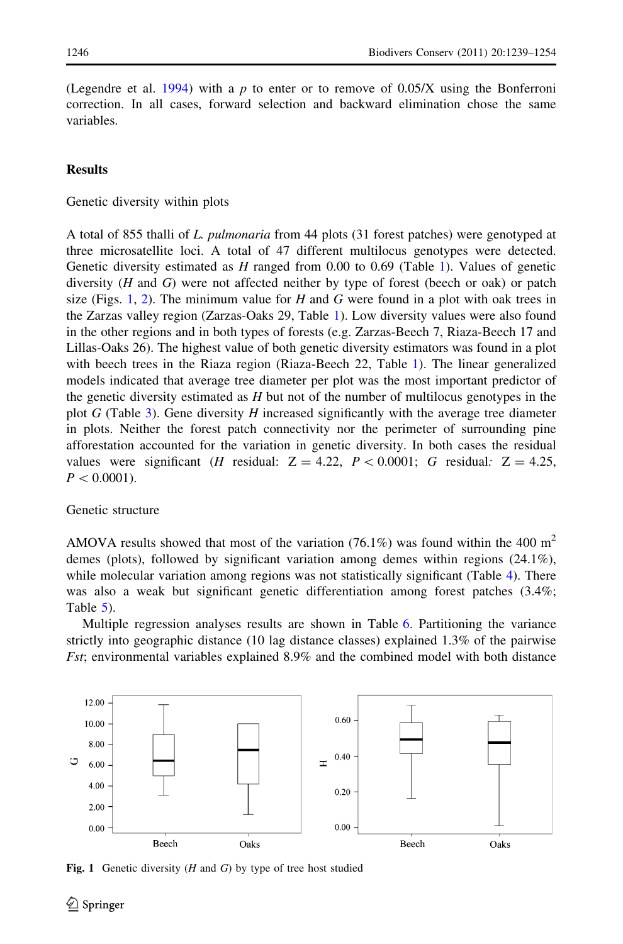(Legendre et al. [1994](#page-13-0)) with a p to enter or to remove of  $0.05/X$  using the Bonferroni correction. In all cases, forward selection and backward elimination chose the same variables.

# **Results**

Genetic diversity within plots

A total of 855 thalli of L. pulmonaria from 44 plots (31 forest patches) were genotyped at three microsatellite loci. A total of 47 different multilocus genotypes were detected. Genetic diversity estimated as  $H$  ranged from 0.00 to 0.69 (Table [1](#page-4-0)). Values of genetic diversity (H and G) were not affected neither by type of forest (beech or oak) or patch size (Figs. 1, [2](#page-8-0)). The minimum value for  $H$  and  $G$  were found in a plot with oak trees in the Zarzas valley region (Zarzas-Oaks 29, Table [1](#page-4-0)). Low diversity values were also found in the other regions and in both types of forests (e.g. Zarzas-Beech 7, Riaza-Beech 17 and Lillas-Oaks 26). The highest value of both genetic diversity estimators was found in a plot with beech trees in the Riaza region (Riaza-Beech 22, Table [1\)](#page-4-0). The linear generalized models indicated that average tree diameter per plot was the most important predictor of the genetic diversity estimated as  $H$  but not of the number of multilocus genotypes in the plot  $G$  (Table [3](#page-8-0)). Gene diversity  $H$  increased significantly with the average tree diameter in plots. Neither the forest patch connectivity nor the perimeter of surrounding pine afforestation accounted for the variation in genetic diversity. In both cases the residual values were significant (H residual:  $Z = 4.22$ ,  $P < 0.0001$ ; G residual:  $Z = 4.25$ ,  $P<0.0001$ ).

# Genetic structure

AMOVA results showed that most of the variation (76.1%) was found within the 400 m<sup>2</sup> demes (plots), followed by significant variation among demes within regions (24.1%), while molecular variation among regions was not statistically significant (Table [4\)](#page-9-0). There was also a weak but significant genetic differentiation among forest patches (3.4%; Table [5](#page-9-0)).

Multiple regression analyses results are shown in Table [6](#page-9-0). Partitioning the variance strictly into geographic distance (10 lag distance classes) explained 1.3% of the pairwise Fst; environmental variables explained 8.9% and the combined model with both distance



Fig. 1 Genetic diversity ( $H$  and  $G$ ) by type of tree host studied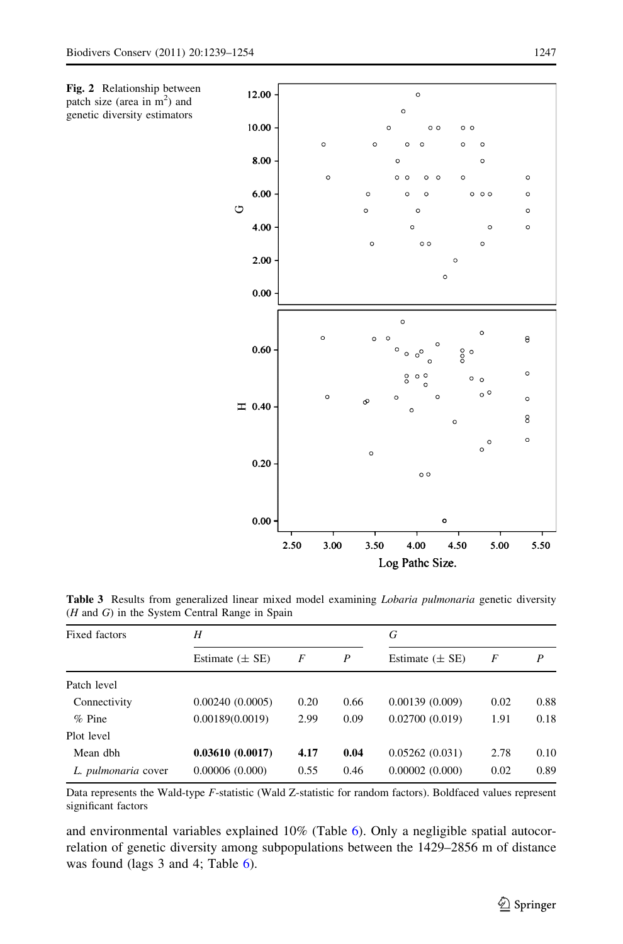

<span id="page-8-0"></span>

Table 3 Results from generalized linear mixed model examining *Lobaria pulmonaria* genetic diversity  $(H \text{ and } G)$  in the System Central Range in Spain

| Fixed factors       | Η                   |      | G    |                     |      |      |
|---------------------|---------------------|------|------|---------------------|------|------|
|                     | Estimate $(\pm SE)$ | F    | P    | Estimate $(\pm SE)$ | F    | P    |
| Patch level         |                     |      |      |                     |      |      |
| Connectivity        | 0.00240(0.0005)     | 0.20 | 0.66 | 0.00139(0.009)      | 0.02 | 0.88 |
| $%$ Pine            | 0.00189(0.0019)     | 2.99 | 0.09 | 0.02700(0.019)      | 1.91 | 0.18 |
| Plot level          |                     |      |      |                     |      |      |
| Mean dbh            | 0.03610(0.0017)     | 4.17 | 0.04 | 0.05262(0.031)      | 2.78 | 0.10 |
| L. pulmonaria cover | 0.00006(0.000)      | 0.55 | 0.46 | 0.00002(0.000)      | 0.02 | 0.89 |

Data represents the Wald-type F-statistic (Wald Z-statistic for random factors). Boldfaced values represent significant factors

and environmental variables explained 10% (Table [6](#page-9-0)). Only a negligible spatial autocorrelation of genetic diversity among subpopulations between the 1429–2856 m of distance was found (lags 3 and 4; Table [6](#page-9-0)).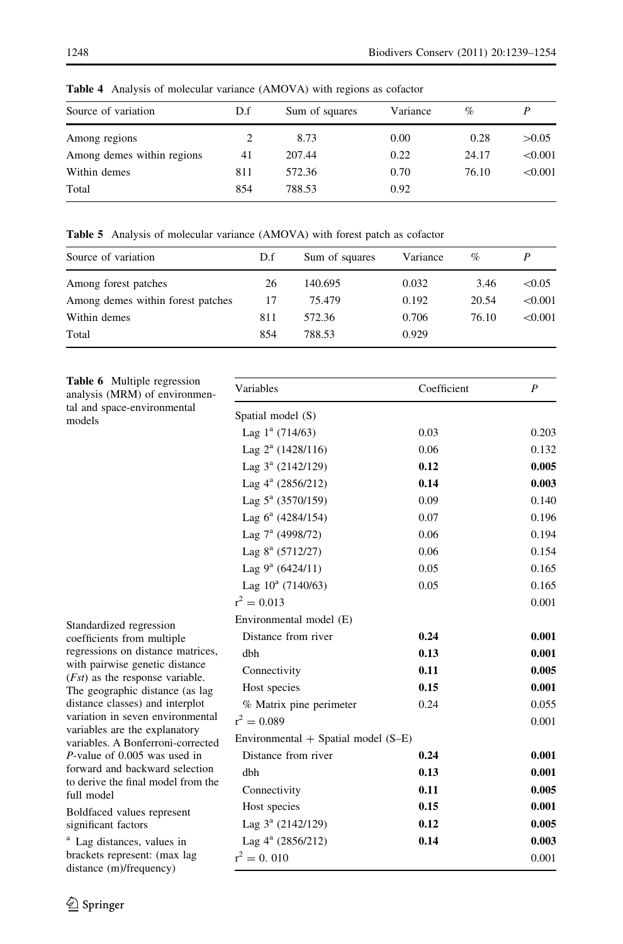| Source of variation        | D.f | Sum of squares | Variance | $\%$  |         |
|----------------------------|-----|----------------|----------|-------|---------|
| Among regions              |     | 8.73           | 0.00     | 0.28  | >0.05   |
| Among demes within regions | 41  | 207.44         | 0.22     | 24.17 | < 0.001 |
| Within demes               | 811 | 572.36         | 0.70     | 76.10 | < 0.001 |
| Total                      | 854 | 788.53         | 0.92     |       |         |

<span id="page-9-0"></span>Table 4 Analysis of molecular variance (AMOVA) with regions as cofactor

Table 5 Analysis of molecular variance (AMOVA) with forest patch as cofactor

| Source of variation               | D.f | Sum of squares | Variance | $\%$  |         |
|-----------------------------------|-----|----------------|----------|-------|---------|
| Among forest patches              | 26  | 140.695        | 0.032    | 3.46  | < 0.05  |
| Among demes within forest patches | 17  | 75.479         | 0.192    | 20.54 | < 0.001 |
| Within demes                      | 811 | 572.36         | 0.706    | 76.10 | < 0.001 |
| Total                             | 854 | 788.53         | 0.929    |       |         |

| <b>Table 6</b> Multiple regression<br>analysis (MRM) of environmen- | Variables                             | Coefficient | $\boldsymbol{P}$ |  |  |  |  |
|---------------------------------------------------------------------|---------------------------------------|-------------|------------------|--|--|--|--|
| tal and space-environmental<br>models                               | Spatial model (S)                     |             |                  |  |  |  |  |
|                                                                     | Lag $1^a$ (714/63)                    | 0.03        | 0.203            |  |  |  |  |
|                                                                     | Lag $2^a$ (1428/116)                  | 0.06        | 0.132            |  |  |  |  |
|                                                                     | Lag 3 <sup>ª</sup> (2142/129)         | 0.12        | 0.005            |  |  |  |  |
|                                                                     | Lag 4 <sup>a</sup> (2856/212)         | 0.14        | 0.003            |  |  |  |  |
|                                                                     | Lag $5^a$ (3570/159)                  | 0.09        | 0.140            |  |  |  |  |
|                                                                     | Lag $6^a$ (4284/154)                  | 0.07        | 0.196            |  |  |  |  |
|                                                                     | Lag 7 <sup>a</sup> (4998/72)          | 0.06        | 0.194            |  |  |  |  |
|                                                                     | Lag $8^a$ (5712/27)                   | 0.06        | 0.154            |  |  |  |  |
|                                                                     | Lag $9^a$ (6424/11)                   | 0.05        | 0.165            |  |  |  |  |
|                                                                     | Lag $10^a$ (7140/63)                  | 0.05        | 0.165            |  |  |  |  |
|                                                                     | $r^2 = 0.013$                         |             | 0.001            |  |  |  |  |
| Standardized regression                                             | Environmental model (E)               |             |                  |  |  |  |  |
| coefficients from multiple                                          | Distance from river                   | 0.24        | 0.001            |  |  |  |  |
| regressions on distance matrices,                                   | dbh                                   | 0.13        | 0.001            |  |  |  |  |
| with pairwise genetic distance<br>$(Fst)$ as the response variable. | Connectivity                          | 0.11        | 0.005            |  |  |  |  |
| The geographic distance (as lag                                     | Host species                          | 0.15        | 0.001            |  |  |  |  |
| distance classes) and interplot                                     | % Matrix pine perimeter               | 0.24        | 0.055            |  |  |  |  |
| variation in seven environmental                                    | $r^2 = 0.089$                         |             | 0.001            |  |  |  |  |
| variables are the explanatory<br>variables. A Bonferroni-corrected  | Environmental $+$ Spatial model (S-E) |             |                  |  |  |  |  |
| $P$ -value of 0.005 was used in                                     | Distance from river                   | 0.24        | 0.001            |  |  |  |  |
| forward and backward selection                                      | dbh                                   | 0.13        | 0.001            |  |  |  |  |
| to derive the final model from the<br>full model                    | Connectivity                          | 0.11        | 0.005            |  |  |  |  |
| Boldfaced values represent                                          | Host species                          | 0.15        | 0.001            |  |  |  |  |
| significant factors                                                 | Lag $3^a$ (2142/129)                  | 0.12        | 0.005            |  |  |  |  |
| <sup>a</sup> Lag distances, values in                               | Lag $4^a$ (2856/212)                  | 0.14        | 0.003            |  |  |  |  |
| brackets represent: (max lag<br>distance (m)/frequency)             | $r^2 = 0.010$                         |             | 0.001            |  |  |  |  |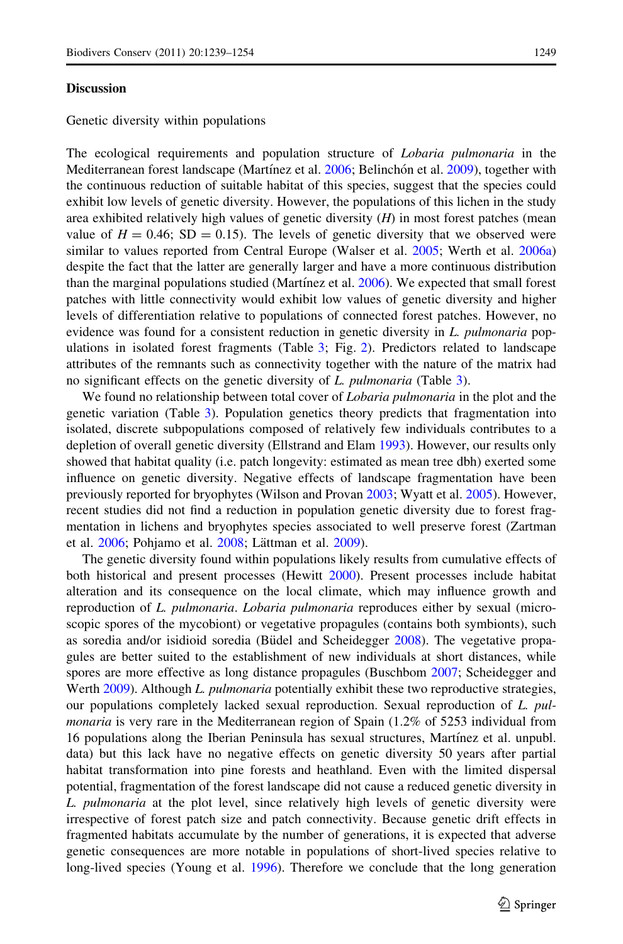# **Discussion**

Genetic diversity within populations

The ecological requirements and population structure of *Lobaria pulmonaria* in the Mediterranean forest landscape (Martínez et al. [2006](#page-13-0); Belinchón et al. [2009](#page-13-0)), together with the continuous reduction of suitable habitat of this species, suggest that the species could exhibit low levels of genetic diversity. However, the populations of this lichen in the study area exhibited relatively high values of genetic diversity  $(H)$  in most forest patches (mean value of  $H = 0.46$ ; SD = 0.15). The levels of genetic diversity that we observed were similar to values reported from Central Europe (Walser et al. [2005;](#page-14-0) Werth et al. [2006a](#page-14-0)) despite the fact that the latter are generally larger and have a more continuous distribution than the marginal populations studied (Martinez et al.  $2006$ ). We expected that small forest patches with little connectivity would exhibit low values of genetic diversity and higher levels of differentiation relative to populations of connected forest patches. However, no evidence was found for a consistent reduction in genetic diversity in L. pulmonaria populations in isolated forest fragments (Table [3](#page-8-0); Fig. [2](#page-8-0)). Predictors related to landscape attributes of the remnants such as connectivity together with the nature of the matrix had no significant effects on the genetic diversity of L. *pulmonaria* (Table [3\)](#page-8-0).

We found no relationship between total cover of *Lobaria pulmonaria* in the plot and the genetic variation (Table [3](#page-8-0)). Population genetics theory predicts that fragmentation into isolated, discrete subpopulations composed of relatively few individuals contributes to a depletion of overall genetic diversity (Ellstrand and Elam [1993](#page-13-0)). However, our results only showed that habitat quality (i.e. patch longevity: estimated as mean tree dbh) exerted some influence on genetic diversity. Negative effects of landscape fragmentation have been previously reported for bryophytes (Wilson and Provan [2003;](#page-14-0) Wyatt et al. [2005\)](#page-14-0). However, recent studies did not find a reduction in population genetic diversity due to forest fragmentation in lichens and bryophytes species associated to well preserve forest (Zartman et al. [2006](#page-15-0); Pohjamo et al. [2008](#page-14-0); Lättman et al. [2009](#page-13-0)).

The genetic diversity found within populations likely results from cumulative effects of both historical and present processes (Hewitt [2000](#page-13-0)). Present processes include habitat alteration and its consequence on the local climate, which may influence growth and reproduction of L. pulmonaria. Lobaria pulmonaria reproduces either by sexual (microscopic spores of the mycobiont) or vegetative propagules (contains both symbionts), such as soredia and/or isidioid soredia (Büdel and Scheidegger [2008](#page-13-0)). The vegetative propagules are better suited to the establishment of new individuals at short distances, while spores are more effective as long distance propagules (Buschbom [2007](#page-13-0); Scheidegger and Werth [2009\)](#page-14-0). Although L. pulmonaria potentially exhibit these two reproductive strategies, our populations completely lacked sexual reproduction. Sexual reproduction of L. pul*monaria* is very rare in the Mediterranean region of Spain  $(1.2\% \text{ of } 5253 \text{ individual from})$ 16 populations along the Iberian Peninsula has sexual structures, Martı´nez et al. unpubl. data) but this lack have no negative effects on genetic diversity 50 years after partial habitat transformation into pine forests and heathland. Even with the limited dispersal potential, fragmentation of the forest landscape did not cause a reduced genetic diversity in L. pulmonaria at the plot level, since relatively high levels of genetic diversity were irrespective of forest patch size and patch connectivity. Because genetic drift effects in fragmented habitats accumulate by the number of generations, it is expected that adverse genetic consequences are more notable in populations of short-lived species relative to long-lived species (Young et al. [1996\)](#page-15-0). Therefore we conclude that the long generation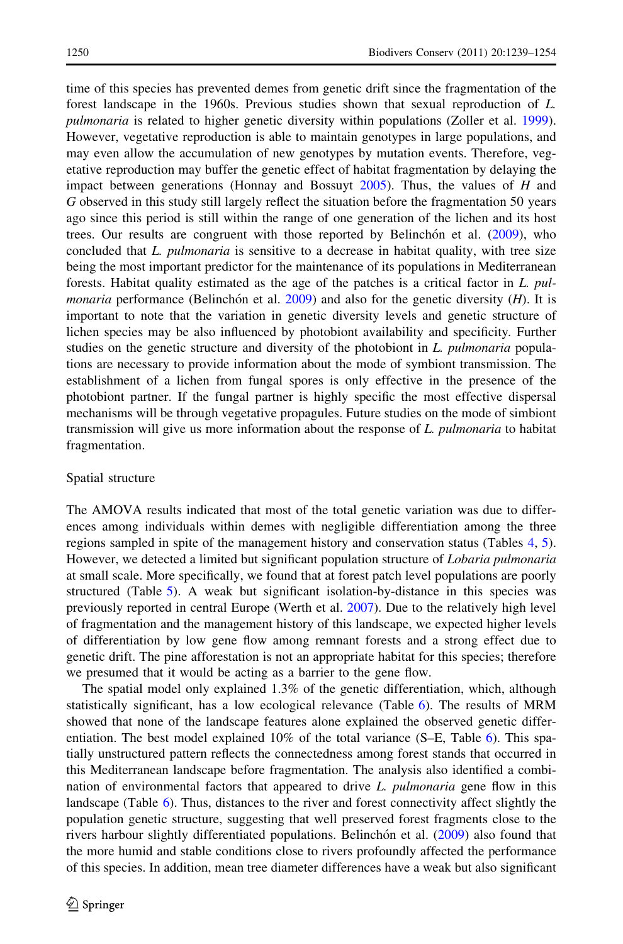time of this species has prevented demes from genetic drift since the fragmentation of the forest landscape in the 1960s. Previous studies shown that sexual reproduction of L. pulmonaria is related to higher genetic diversity within populations (Zoller et al. [1999](#page-15-0)). However, vegetative reproduction is able to maintain genotypes in large populations, and may even allow the accumulation of new genotypes by mutation events. Therefore, vegetative reproduction may buffer the genetic effect of habitat fragmentation by delaying the impact between generations (Honnay and Bossuyt  $2005$ ). Thus, the values of H and G observed in this study still largely reflect the situation before the fragmentation 50 years ago since this period is still within the range of one generation of the lichen and its host trees. Our results are congruent with those reported by Belinchón et al.  $(2009)$  $(2009)$ , who concluded that L. pulmonaria is sensitive to a decrease in habitat quality, with tree size being the most important predictor for the maintenance of its populations in Mediterranean forests. Habitat quality estimated as the age of the patches is a critical factor in L. pul*monaria* performance (Belinchón et al. [2009](#page-13-0)) and also for the genetic diversity  $(H)$ . It is important to note that the variation in genetic diversity levels and genetic structure of lichen species may be also influenced by photobiont availability and specificity. Further studies on the genetic structure and diversity of the photobiont in L. pulmonaria populations are necessary to provide information about the mode of symbiont transmission. The establishment of a lichen from fungal spores is only effective in the presence of the photobiont partner. If the fungal partner is highly specific the most effective dispersal mechanisms will be through vegetative propagules. Future studies on the mode of simbiont transmission will give us more information about the response of L. pulmonaria to habitat fragmentation.

# Spatial structure

The AMOVA results indicated that most of the total genetic variation was due to differences among individuals within demes with negligible differentiation among the three regions sampled in spite of the management history and conservation status (Tables [4](#page-9-0), [5](#page-9-0)). However, we detected a limited but significant population structure of *Lobaria pulmonaria* at small scale. More specifically, we found that at forest patch level populations are poorly structured (Table [5](#page-9-0)). A weak but significant isolation-by-distance in this species was previously reported in central Europe (Werth et al. [2007\)](#page-14-0). Due to the relatively high level of fragmentation and the management history of this landscape, we expected higher levels of differentiation by low gene flow among remnant forests and a strong effect due to genetic drift. The pine afforestation is not an appropriate habitat for this species; therefore we presumed that it would be acting as a barrier to the gene flow.

The spatial model only explained 1.3% of the genetic differentiation, which, although statistically significant, has a low ecological relevance (Table [6](#page-9-0)). The results of MRM showed that none of the landscape features alone explained the observed genetic differentiation. The best model explained  $10\%$  of the total variance (S–E, Table [6\)](#page-9-0). This spatially unstructured pattern reflects the connectedness among forest stands that occurred in this Mediterranean landscape before fragmentation. The analysis also identified a combination of environmental factors that appeared to drive L. pulmonaria gene flow in this landscape (Table [6\)](#page-9-0). Thus, distances to the river and forest connectivity affect slightly the population genetic structure, suggesting that well preserved forest fragments close to the rivers harbour slightly differentiated populations. Belinchon et al. ([2009\)](#page-13-0) also found that the more humid and stable conditions close to rivers profoundly affected the performance of this species. In addition, mean tree diameter differences have a weak but also significant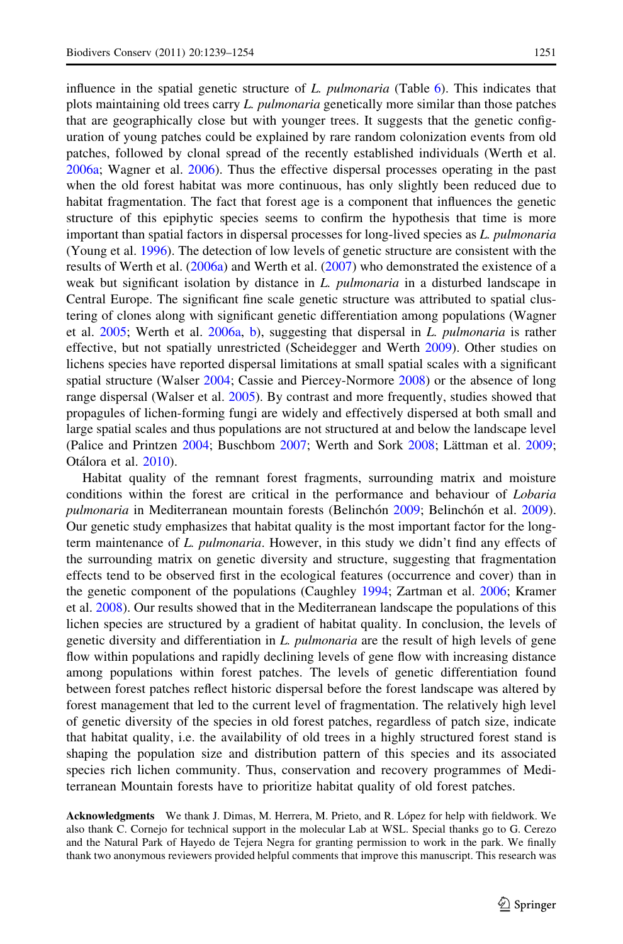influence in the spatial genetic structure of  $L$ . *pulmonaria* (Table  $6$ ). This indicates that plots maintaining old trees carry L. *pulmonaria* genetically more similar than those patches that are geographically close but with younger trees. It suggests that the genetic configuration of young patches could be explained by rare random colonization events from old patches, followed by clonal spread of the recently established individuals (Werth et al. [2006a;](#page-14-0) Wagner et al. [2006\)](#page-14-0). Thus the effective dispersal processes operating in the past when the old forest habitat was more continuous, has only slightly been reduced due to habitat fragmentation. The fact that forest age is a component that influences the genetic structure of this epiphytic species seems to confirm the hypothesis that time is more important than spatial factors in dispersal processes for long-lived species as L. pulmonaria (Young et al. [1996\)](#page-15-0). The detection of low levels of genetic structure are consistent with the results of Werth et al. [\(2006a\)](#page-14-0) and Werth et al. ([2007](#page-14-0)) who demonstrated the existence of a weak but significant isolation by distance in L. pulmonaria in a disturbed landscape in Central Europe. The significant fine scale genetic structure was attributed to spatial clustering of clones along with significant genetic differentiation among populations (Wagner et al. [2005](#page-14-0); Werth et al. [2006a](#page-14-0), [b\)](#page-14-0), suggesting that dispersal in L. pulmonaria is rather effective, but not spatially unrestricted (Scheidegger and Werth [2009\)](#page-14-0). Other studies on lichens species have reported dispersal limitations at small spatial scales with a significant spatial structure (Walser [2004;](#page-14-0) Cassie and Piercey-Normore [2008](#page-13-0)) or the absence of long range dispersal (Walser et al. [2005](#page-14-0)). By contrast and more frequently, studies showed that propagules of lichen-forming fungi are widely and effectively dispersed at both small and large spatial scales and thus populations are not structured at and below the landscape level (Palice and Printzen [2004;](#page-14-0) Buschbom [2007](#page-13-0); Werth and Sork [2008;](#page-14-0) Lättman et al. [2009;](#page-13-0) Otálora et al. [2010\)](#page-14-0).

Habitat quality of the remnant forest fragments, surrounding matrix and moisture conditions within the forest are critical in the performance and behaviour of *Lobaria* pulmonaria in Mediterranean mountain forests (Belinchón [2009;](#page-13-0) Belinchón et al. [2009](#page-13-0)). Our genetic study emphasizes that habitat quality is the most important factor for the longterm maintenance of L. pulmonaria. However, in this study we didn't find any effects of the surrounding matrix on genetic diversity and structure, suggesting that fragmentation effects tend to be observed first in the ecological features (occurrence and cover) than in the genetic component of the populations (Caughley [1994;](#page-13-0) Zartman et al. [2006;](#page-15-0) Kramer et al. [2008\)](#page-13-0). Our results showed that in the Mediterranean landscape the populations of this lichen species are structured by a gradient of habitat quality. In conclusion, the levels of genetic diversity and differentiation in L. pulmonaria are the result of high levels of gene flow within populations and rapidly declining levels of gene flow with increasing distance among populations within forest patches. The levels of genetic differentiation found between forest patches reflect historic dispersal before the forest landscape was altered by forest management that led to the current level of fragmentation. The relatively high level of genetic diversity of the species in old forest patches, regardless of patch size, indicate that habitat quality, i.e. the availability of old trees in a highly structured forest stand is shaping the population size and distribution pattern of this species and its associated species rich lichen community. Thus, conservation and recovery programmes of Mediterranean Mountain forests have to prioritize habitat quality of old forest patches.

Acknowledgments We thank J. Dimas, M. Herrera, M. Prieto, and R. López for help with fieldwork. We also thank C. Cornejo for technical support in the molecular Lab at WSL. Special thanks go to G. Cerezo and the Natural Park of Hayedo de Tejera Negra for granting permission to work in the park. We finally thank two anonymous reviewers provided helpful comments that improve this manuscript. This research was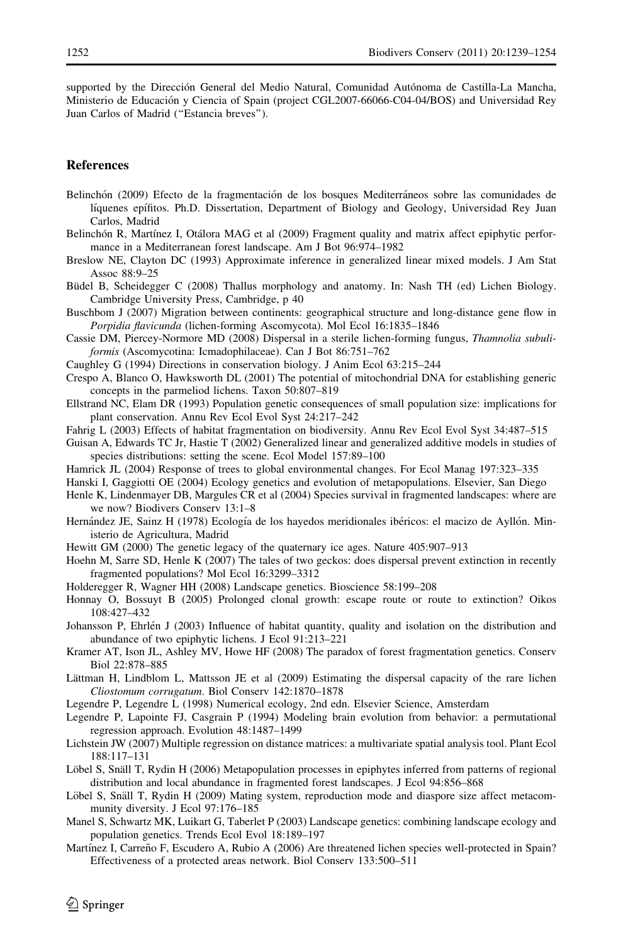<span id="page-13-0"></span>supported by the Dirección General del Medio Natural, Comunidad Autónoma de Castilla-La Mancha, Ministerio de Educación y Ciencia of Spain (project CGL2007-66066-C04-04/BOS) and Universidad Rey Juan Carlos of Madrid ("Estancia breves").

#### References

- Belinchón (2009) Efecto de la fragmentación de los bosques Mediterráneos sobre las comunidades de líquenes epífitos. Ph.D. Dissertation, Department of Biology and Geology, Universidad Rey Juan Carlos, Madrid
- Belinchón R, Martínez I, Otálora MAG et al (2009) Fragment quality and matrix affect epiphytic performance in a Mediterranean forest landscape. Am J Bot 96:974–1982
- Breslow NE, Clayton DC (1993) Approximate inference in generalized linear mixed models. J Am Stat Assoc 88:9–25
- Büdel B, Scheidegger C (2008) Thallus morphology and anatomy. In: Nash TH (ed) Lichen Biology. Cambridge University Press, Cambridge, p 40
- Buschbom J (2007) Migration between continents: geographical structure and long-distance gene flow in Porpidia flavicunda (lichen-forming Ascomycota). Mol Ecol 16:1835–1846
- Cassie DM, Piercey-Normore MD (2008) Dispersal in a sterile lichen-forming fungus, Thamnolia subuliformis (Ascomycotina: Icmadophilaceae). Can J Bot 86:751–762
- Caughley G (1994) Directions in conservation biology. J Anim Ecol 63:215–244
- Crespo A, Blanco O, Hawksworth DL (2001) The potential of mitochondrial DNA for establishing generic concepts in the parmeliod lichens. Taxon 50:807–819
- Ellstrand NC, Elam DR (1993) Population genetic consequences of small population size: implications for plant conservation. Annu Rev Ecol Evol Syst 24:217–242
- Fahrig L (2003) Effects of habitat fragmentation on biodiversity. Annu Rev Ecol Evol Syst 34:487–515
- Guisan A, Edwards TC Jr, Hastie T (2002) Generalized linear and generalized additive models in studies of species distributions: setting the scene. Ecol Model 157:89–100
- Hamrick JL (2004) Response of trees to global environmental changes. For Ecol Manag 197:323–335
- Hanski I, Gaggiotti OE (2004) Ecology genetics and evolution of metapopulations. Elsevier, San Diego
- Henle K, Lindenmayer DB, Margules CR et al (2004) Species survival in fragmented landscapes: where are we now? Biodivers Conserv 13:1–8
- Hernández JE, Sainz H (1978) Ecología de los hayedos meridionales ibéricos: el macizo de Ayllón. Ministerio de Agricultura, Madrid
- Hewitt GM (2000) The genetic legacy of the quaternary ice ages. Nature 405:907–913
- Hoehn M, Sarre SD, Henle K (2007) The tales of two geckos: does dispersal prevent extinction in recently fragmented populations? Mol Ecol 16:3299–3312
- Holderegger R, Wagner HH (2008) Landscape genetics. Bioscience 58:199–208
- Honnay O, Bossuyt B (2005) Prolonged clonal growth: escape route or route to extinction? Oikos 108:427–432
- Johansson P, Ehrlén J (2003) Influence of habitat quantity, quality and isolation on the distribution and abundance of two epiphytic lichens. J Ecol 91:213–221
- Kramer AT, Ison JL, Ashley MV, Howe HF (2008) The paradox of forest fragmentation genetics. Conserv Biol 22:878–885
- Lättman H, Lindblom L, Mattsson JE et al (2009) Estimating the dispersal capacity of the rare lichen Cliostomum corrugatum. Biol Conserv 142:1870–1878
- Legendre P, Legendre L (1998) Numerical ecology, 2nd edn. Elsevier Science, Amsterdam
- Legendre P, Lapointe FJ, Casgrain P (1994) Modeling brain evolution from behavior: a permutational regression approach. Evolution 48:1487–1499
- Lichstein JW (2007) Multiple regression on distance matrices: a multivariate spatial analysis tool. Plant Ecol 188:117–131
- Löbel S, Snäll T, Rydin H (2006) Metapopulation processes in epiphytes inferred from patterns of regional distribution and local abundance in fragmented forest landscapes. J Ecol 94:856–868
- Löbel S, Snäll T, Rydin H (2009) Mating system, reproduction mode and diaspore size affect metacommunity diversity. J Ecol 97:176–185
- Manel S, Schwartz MK, Luikart G, Taberlet P (2003) Landscape genetics: combining landscape ecology and population genetics. Trends Ecol Evol 18:189–197
- Martínez I, Carreño F, Escudero A, Rubio A (2006) Are threatened lichen species well-protected in Spain? Effectiveness of a protected areas network. Biol Conserv 133:500–511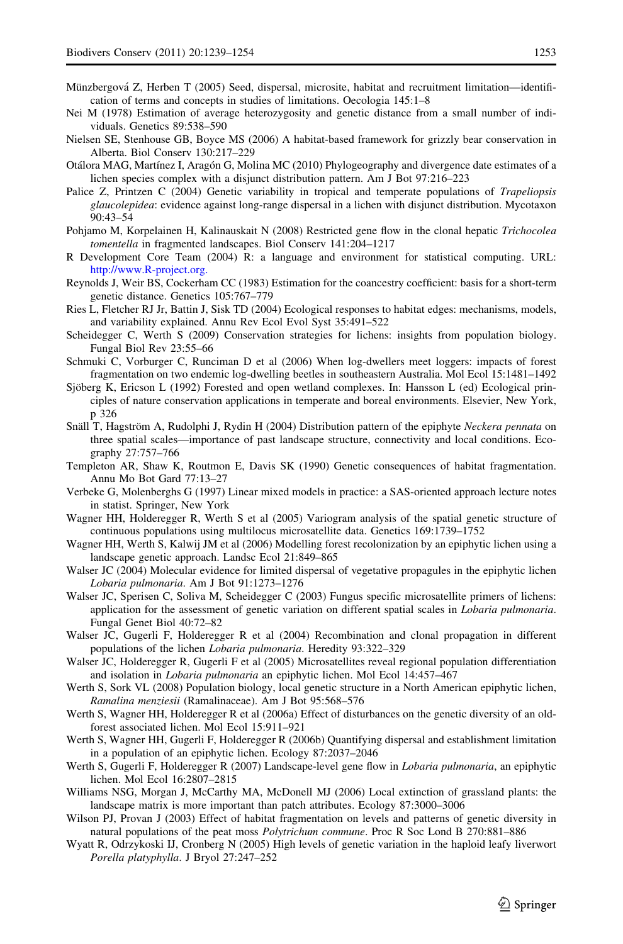- <span id="page-14-0"></span>Münzbergová Z, Herben T (2005) Seed, dispersal, microsite, habitat and recruitment limitation—identification of terms and concepts in studies of limitations. Oecologia 145:1–8
- Nei M (1978) Estimation of average heterozygosity and genetic distance from a small number of individuals. Genetics 89:538–590
- Nielsen SE, Stenhouse GB, Boyce MS (2006) A habitat-based framework for grizzly bear conservation in Alberta. Biol Conserv 130:217–229
- Otálora MAG, Martínez I, Aragón G, Molina MC (2010) Phylogeography and divergence date estimates of a lichen species complex with a disjunct distribution pattern. Am J Bot 97:216–223
- Palice Z, Printzen C (2004) Genetic variability in tropical and temperate populations of Trapeliopsis glaucolepidea: evidence against long-range dispersal in a lichen with disjunct distribution. Mycotaxon 90:43–54
- Pohjamo M, Korpelainen H, Kalinauskait N (2008) Restricted gene flow in the clonal hepatic Trichocolea tomentella in fragmented landscapes. Biol Conserv 141:204–1217
- R Development Core Team (2004) R: a language and environment for statistical computing. URL: <http://www.R-project.org.>
- Reynolds J, Weir BS, Cockerham CC (1983) Estimation for the coancestry coefficient: basis for a short-term genetic distance. Genetics 105:767–779
- Ries L, Fletcher RJ Jr, Battin J, Sisk TD (2004) Ecological responses to habitat edges: mechanisms, models, and variability explained. Annu Rev Ecol Evol Syst 35:491–522
- Scheidegger C, Werth S (2009) Conservation strategies for lichens: insights from population biology. Fungal Biol Rev 23:55–66
- Schmuki C, Vorburger C, Runciman D et al (2006) When log-dwellers meet loggers: impacts of forest fragmentation on two endemic log-dwelling beetles in southeastern Australia. Mol Ecol 15:1481–1492
- Sjöberg K, Ericson L (1992) Forested and open wetland complexes. In: Hansson L (ed) Ecological principles of nature conservation applications in temperate and boreal environments. Elsevier, New York, p 326
- Snäll T, Hagström A, Rudolphi J, Rydin H (2004) Distribution pattern of the epiphyte Neckera pennata on three spatial scales—importance of past landscape structure, connectivity and local conditions. Ecography 27:757–766
- Templeton AR, Shaw K, Routmon E, Davis SK (1990) Genetic consequences of habitat fragmentation. Annu Mo Bot Gard 77:13–27
- Verbeke G, Molenberghs G (1997) Linear mixed models in practice: a SAS-oriented approach lecture notes in statist. Springer, New York
- Wagner HH, Holderegger R, Werth S et al (2005) Variogram analysis of the spatial genetic structure of continuous populations using multilocus microsatellite data. Genetics 169:1739–1752
- Wagner HH, Werth S, Kalwij JM et al (2006) Modelling forest recolonization by an epiphytic lichen using a landscape genetic approach. Landsc Ecol 21:849–865
- Walser JC (2004) Molecular evidence for limited dispersal of vegetative propagules in the epiphytic lichen Lobaria pulmonaria. Am J Bot 91:1273–1276
- Walser JC, Sperisen C, Soliva M, Scheidegger C (2003) Fungus specific microsatellite primers of lichens: application for the assessment of genetic variation on different spatial scales in *Lobaria pulmonaria*. Fungal Genet Biol 40:72–82
- Walser JC, Gugerli F, Holderegger R et al (2004) Recombination and clonal propagation in different populations of the lichen Lobaria pulmonaria. Heredity 93:322–329
- Walser JC, Holderegger R, Gugerli F et al (2005) Microsatellites reveal regional population differentiation and isolation in Lobaria pulmonaria an epiphytic lichen. Mol Ecol 14:457–467
- Werth S, Sork VL (2008) Population biology, local genetic structure in a North American epiphytic lichen, Ramalina menziesii (Ramalinaceae). Am J Bot 95:568–576
- Werth S, Wagner HH, Holderegger R et al (2006a) Effect of disturbances on the genetic diversity of an oldforest associated lichen. Mol Ecol 15:911–921
- Werth S, Wagner HH, Gugerli F, Holderegger R (2006b) Quantifying dispersal and establishment limitation in a population of an epiphytic lichen. Ecology 87:2037–2046
- Werth S, Gugerli F, Holderegger R (2007) Landscape-level gene flow in *Lobaria pulmonaria*, an epiphytic lichen. Mol Ecol 16:2807–2815
- Williams NSG, Morgan J, McCarthy MA, McDonell MJ (2006) Local extinction of grassland plants: the landscape matrix is more important than patch attributes. Ecology 87:3000–3006
- Wilson PJ, Provan J (2003) Effect of habitat fragmentation on levels and patterns of genetic diversity in natural populations of the peat moss Polytrichum commune. Proc R Soc Lond B 270:881–886
- Wyatt R, Odrzykoski IJ, Cronberg N (2005) High levels of genetic variation in the haploid leafy liverwort Porella platyphylla. J Bryol 27:247–252